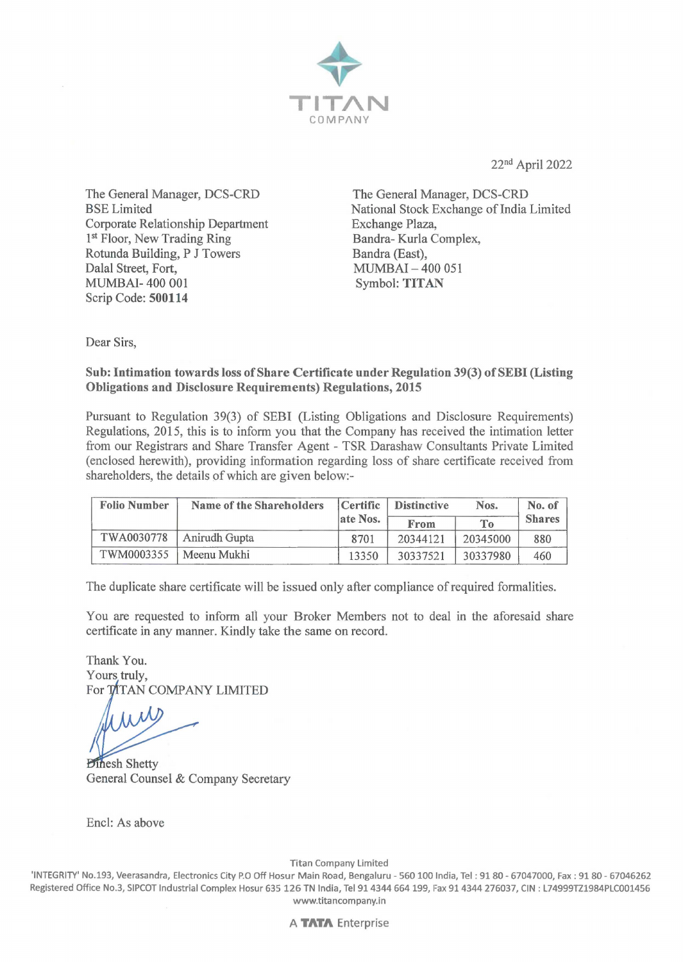

22nd April 2022

The General Manager, DCS-CRD BSELimited Corporate Relationship Department 1<sup>st</sup> Floor, New Trading Ring Rotunda Building, P J Towers Dalal Street, Fort, MUMBAI- 400 001 Scrip Code: **500114** 

The General Manager, DCS-CRD National Stock Exchange of India Limited Exchange Plaza, Bandra- Kurla Complex, Bandra (East), MUMBAI - 400 051 Symbol: **TITAN** 

Dear Sirs,

### **Sub: Intimation towards loss of Share Certificate under Regulation 39(3) of SEBI (Listing Obligations and Disclosure Requirements) Regulations, 2015**

Pursuant to Regulation 39(3) of SEBI (Listing Obligations and Disclosure Requirements) Regulations, 2015, this is to inform you that the Company has received the intimation letter from our Registrars and Share Transfer Agent - TSR Darashaw Consultants Private Limited ( enclosed herewith), providing information regarding loss of share certificate received from shareholders, the details of which are given below:-

| <b>Folio Number</b> | Name of the Shareholders | Certific | <b>Distinctive</b> | Nos.           | No. of        |
|---------------------|--------------------------|----------|--------------------|----------------|---------------|
|                     |                          | ate Nos. | From               | T <sub>0</sub> | <b>Shares</b> |
| TWA0030778          | Anirudh Gupta            | 8701     | 20344121           | 20345000       | 880           |
| TWM0003355          | Meenu Mukhi              | 13350    | 30337521           | 30337980       | 460           |

The duplicate share certificate will be issued only after compliance of required formalities.

You are requested to inform all your Broker Members not to deal in the aforesaid share certificate in any manner. Kindly take the same on record.

Thank You. Yours truly, For TITAN COMPANY LIMITED

*Dinesh Shetty* General Counsel & Company Secretary

Encl: As above

Titan Company Limited

'INTEGRITY' No.193, Veerasandra, Electronics City P.O Off Hosur Main Road, Bengaluru - 560100 India, Tel: 9180- 67047000, Fax: 9180- 67046262 Registered Office No.3, SIPCOT Industrial Complex Hosur 635 126 TN India, Tel 914344 664 199, Fax 91 4344 276037, CIN : L74999TZ1984PLC001456 www.titancompany.in

A **TATA** Enterprise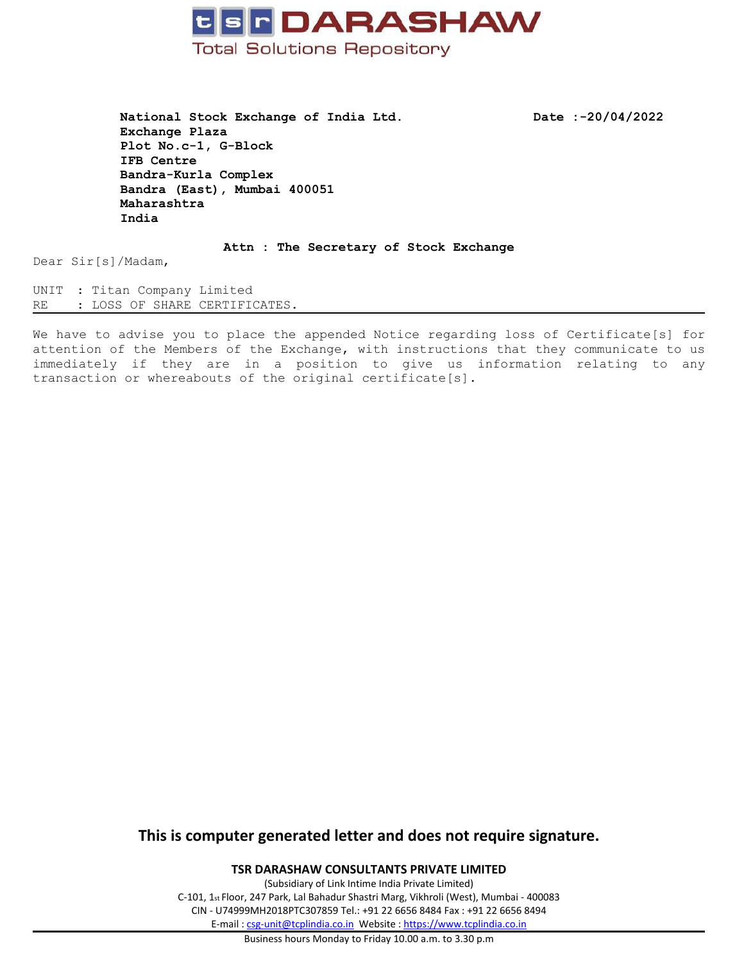

**National Stock Exchange of India Ltd. Date :-20/04/2022 Exchange Plaza Plot No.c-1, G-Block IFB Centre Bandra-Kurla Complex Bandra (East), Mumbai 400051 Maharashtra India**

**Attn : The Secretary of Stock Exchange**

Dear Sir[s]/Madam,

UNIT : Titan Company Limited RE : LOSS OF SHARE CERTIFICATES.

We have to advise you to place the appended Notice regarding loss of Certificate[s] for attention of the Members of the Exchange, with instructions that they communicate to us immediately if they are in <sup>a</sup> position to give us information relating to any transaction or whereabouts of the original certificate[s].

# **This is computer generated letter and does not require signature.**

**TSR DARASHAW CONSULTANTS PRIVATE LIMITED**

(Subsidiary of Link Intime India Private Limited) C-101, 1st Floor, 247 Park, Lal Bahadur Shastri Marg, Vikhroli (West), Mumbai - 400083 CIN - U74999MH2018PTC307859 Tel.: +91 22 6656 8484 Fax : +91 22 6656 8494 E-mail : [csg-unit@tcplindia.co.in](mailto:csg-unit@tcplindia.co.in) Website : <https://www.tcplindia.co.in>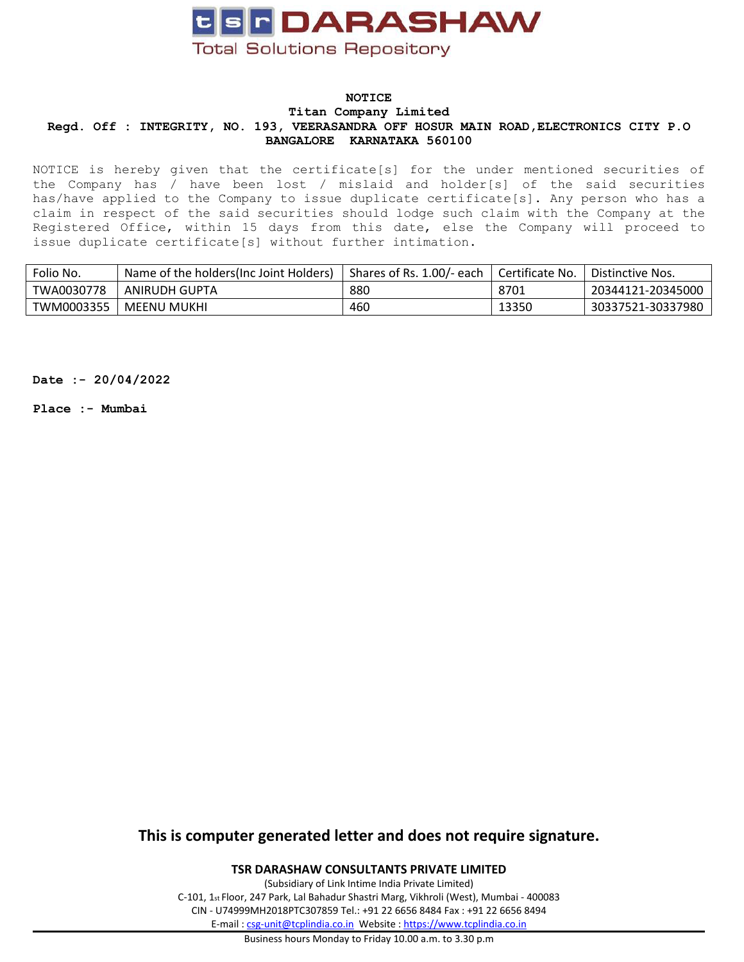

### **NOTICE Titan Company Limited Regd. Off : INTEGRITY, NO. 193, VEERASANDRA OFF HOSUR MAIN ROAD,ELECTRONICS CITY P.O BANGALORE KARNATAKA 560100**

NOTICE is hereby given that the certificate[s] for the under mentioned securities of the Company has / have been lost / mislaid and holder[s] of the said securities has/have applied to the Company to issue duplicate certificate[s]. Any person who has <sup>a</sup> claim in respect of the said securities should lodge such claim with the Company at the Registered Office, within 15 days from this date, else the Company will proceed to issue duplicate certificate[s] without further intimation.

| Folio No.  | Name of the holders (Inc Joint Holders) | Shares of Rs. 1.00/- each | Certificate No. | Distinctive Nos.  |
|------------|-----------------------------------------|---------------------------|-----------------|-------------------|
| TWA0030778 | ANIRUDH GUPTA                           | 880                       | 8701            | 20344121-20345000 |
| TWM0003355 | MEENU MUKHI                             | 460                       | 13350           | 30337521-30337980 |

**Date :- 20/04/2022**

**Place :- Mumbai**

# **This is computer generated letter and does not require signature.**

#### **TSR DARASHAW CONSULTANTS PRIVATE LIMITED**

(Subsidiary of Link Intime India Private Limited) C-101, 1st Floor, 247 Park, Lal Bahadur Shastri Marg, Vikhroli (West), Mumbai - 400083 CIN - U74999MH2018PTC307859 Tel.: +91 22 6656 8484 Fax : +91 22 6656 8494 E-mail : [csg-unit@tcplindia.co.in](mailto:csg-unit@tcplindia.co.in) Website : <https://www.tcplindia.co.in>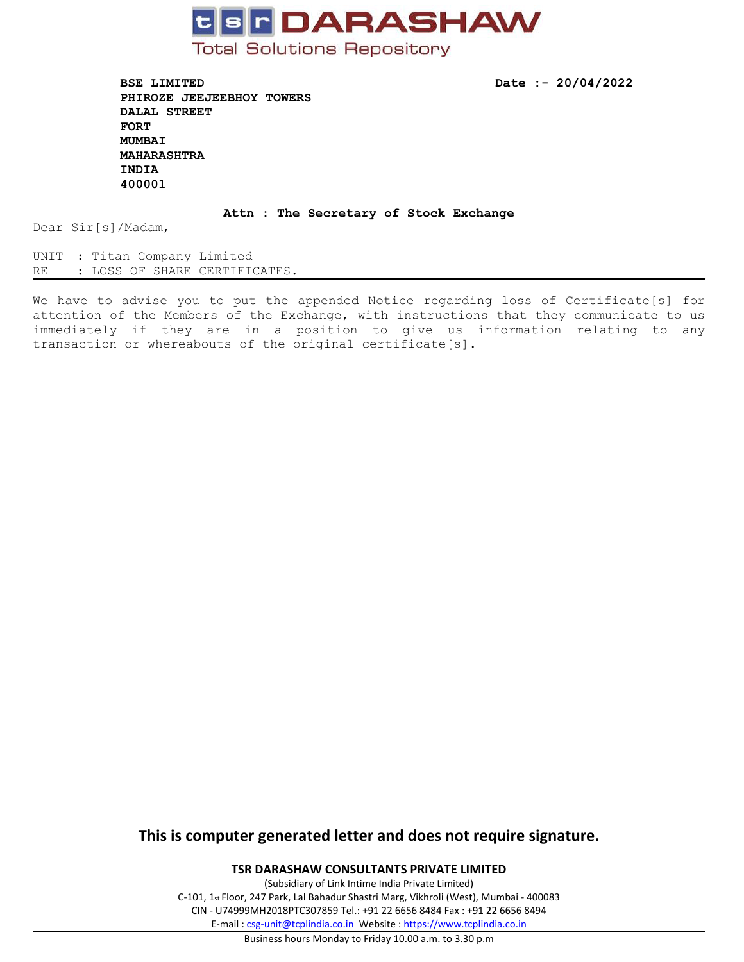

**BSE LIMITED Date :- 20/04/2022 PHIROZE JEEJEEBHOY TOWERS DALAL STREET FORT MUMBAI MAHARASHTRA INDIA 400001**

#### **Attn : The Secretary of Stock Exchange**

Dear Sir[s]/Madam,

UNIT : Titan Company Limited RE : LOSS OF SHARE CERTIFICATES.

We have to advise you to put the appended Notice regarding loss of Certificate[s] for attention of the Members of the Exchange, with instructions that they communicate to us immediately if they are in <sup>a</sup> position to give us information relating to any transaction or whereabouts of the original certificate[s].

# **This is computer generated letter and does not require signature.**

**TSR DARASHAW CONSULTANTS PRIVATE LIMITED**

(Subsidiary of Link Intime India Private Limited) C-101, 1st Floor, 247 Park, Lal Bahadur Shastri Marg, Vikhroli (West), Mumbai - 400083 CIN - U74999MH2018PTC307859 Tel.: +91 22 6656 8484 Fax : +91 22 6656 8494 E-mail : [csg-unit@tcplindia.co.in](mailto:csg-unit@tcplindia.co.in) Website : <https://www.tcplindia.co.in>